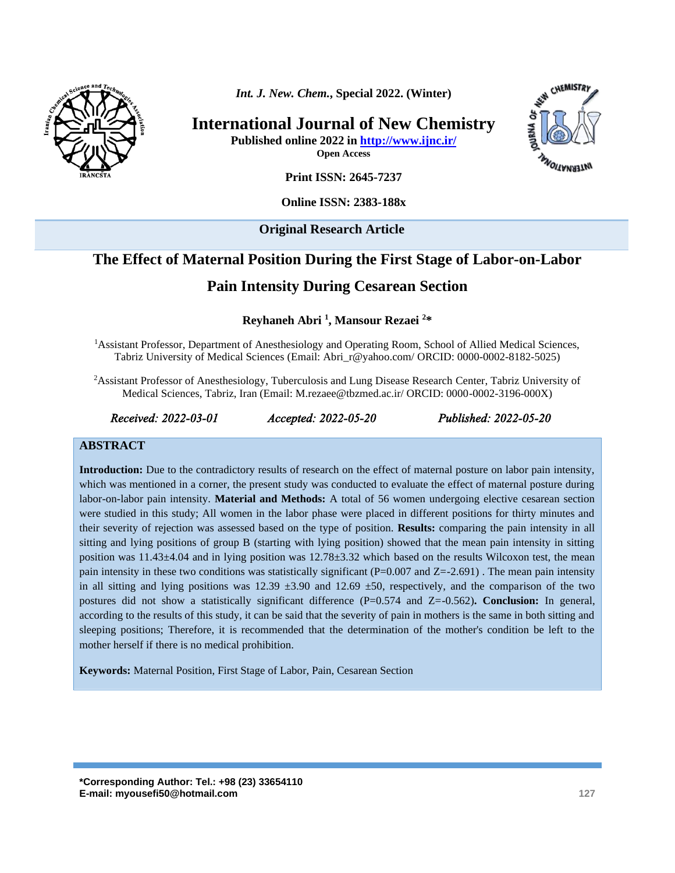

*Int. J. New. Chem.***, Special 2022. (Winter)**

**International Journal of New Chemistry**

**Published online 2022 in<http://www.ijnc.ir/>**

**Open Access**



**Print ISSN: 2645-7237**

**Online ISSN: 2383-188x** 

**Original Research Article** 

# **The Effect of Maternal Position During the First Stage of Labor-on-Labor**

# **Pain Intensity During Cesarean Section**

**Reyhaneh Abri <sup>1</sup> , Mansour Rezaei <sup>2</sup>\***

<sup>1</sup>Assistant Professor, Department of Anesthesiology and Operating Room, School of Allied Medical Sciences, Tabriz University of Medical Sciences (Email: [Abri\\_r@yahoo.com/](mailto:Abri_r@yahoo.com/) ORCID: 0000-0002-8182-5025)

<sup>2</sup>Assistant Professor of Anesthesiology, Tuberculosis and Lung Disease Research Center, Tabriz University of Medical Sciences, Tabriz, Iran (Email: M.rezaee@tbzmed.ac.ir/ ORCID: 0000-0002-3196-000X)

*Received: 2022-03-01 Accepted: 2022-05-20 Published: 2022-05-20* 

#### **ABSTRACT**

**Introduction:** Due to the contradictory results of research on the effect of maternal posture on labor pain intensity, which was mentioned in a corner, the present study was conducted to evaluate the effect of maternal posture during labor-on-labor pain intensity. **Material and Methods:** A total of 56 women undergoing elective cesarean section were studied in this study; All women in the labor phase were placed in different positions for thirty minutes and their severity of rejection was assessed based on the type of position. **Results:** comparing the pain intensity in all sitting and lying positions of group B (starting with lying position) showed that the mean pain intensity in sitting position was 11.43±4.04 and in lying position was 12.78±3.32 which based on the results Wilcoxon test, the mean pain intensity in these two conditions was statistically significant  $(P=0.007$  and  $Z=-2.691)$ . The mean pain intensity in all sitting and lying positions was  $12.39 \pm 3.90$  and  $12.69 \pm 50$ , respectively, and the comparison of the two postures did not show a statistically significant difference (P=0.574 and Z=-0.562)**. Conclusion:** In general, according to the results of this study, it can be said that the severity of pain in mothers is the same in both sitting and sleeping positions; Therefore, it is recommended that the determination of the mother's condition be left to the mother herself if there is no medical prohibition.

**Keywords:** Maternal Position, First Stage of Labor, Pain, Cesarean Section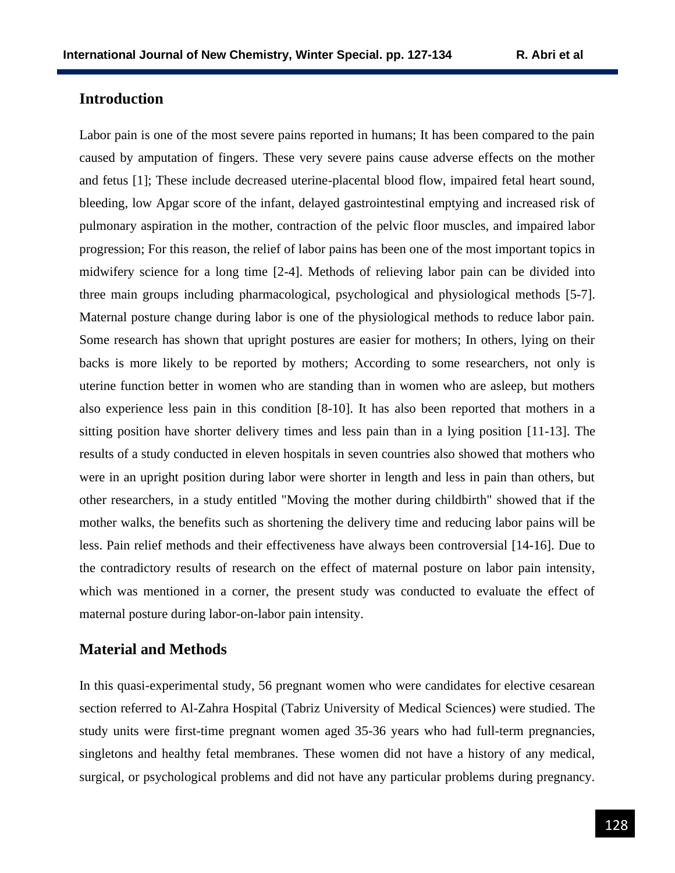## **Introduction**

Labor pain is one of the most severe pains reported in humans; It has been compared to the pain caused by amputation of fingers. These very severe pains cause adverse effects on the mother and fetus [1]; These include decreased uterine-placental blood flow, impaired fetal heart sound, bleeding, low Apgar score of the infant, delayed gastrointestinal emptying and increased risk of pulmonary aspiration in the mother, contraction of the pelvic floor muscles, and impaired labor progression; For this reason, the relief of labor pains has been one of the most important topics in midwifery science for a long time [2-4]. Methods of relieving labor pain can be divided into three main groups including pharmacological, psychological and physiological methods [5-7]. Maternal posture change during labor is one of the physiological methods to reduce labor pain. Some research has shown that upright postures are easier for mothers; In others, lying on their backs is more likely to be reported by mothers; According to some researchers, not only is uterine function better in women who are standing than in women who are asleep, but mothers also experience less pain in this condition [8-10]. It has also been reported that mothers in a sitting position have shorter delivery times and less pain than in a lying position [11-13]. The results of a study conducted in eleven hospitals in seven countries also showed that mothers who were in an upright position during labor were shorter in length and less in pain than others, but other researchers, in a study entitled "Moving the mother during childbirth" showed that if the mother walks, the benefits such as shortening the delivery time and reducing labor pains will be less. Pain relief methods and their effectiveness have always been controversial [14-16]. Due to the contradictory results of research on the effect of maternal posture on labor pain intensity, which was mentioned in a corner, the present study was conducted to evaluate the effect of maternal posture during labor-on-labor pain intensity.

### **Material and Methods**

In this quasi-experimental study, 56 pregnant women who were candidates for elective cesarean section referred to Al-Zahra Hospital (Tabriz University of Medical Sciences) were studied. The study units were first-time pregnant women aged 35-36 years who had full-term pregnancies, singletons and healthy fetal membranes. These women did not have a history of any medical, surgical, or psychological problems and did not have any particular problems during pregnancy.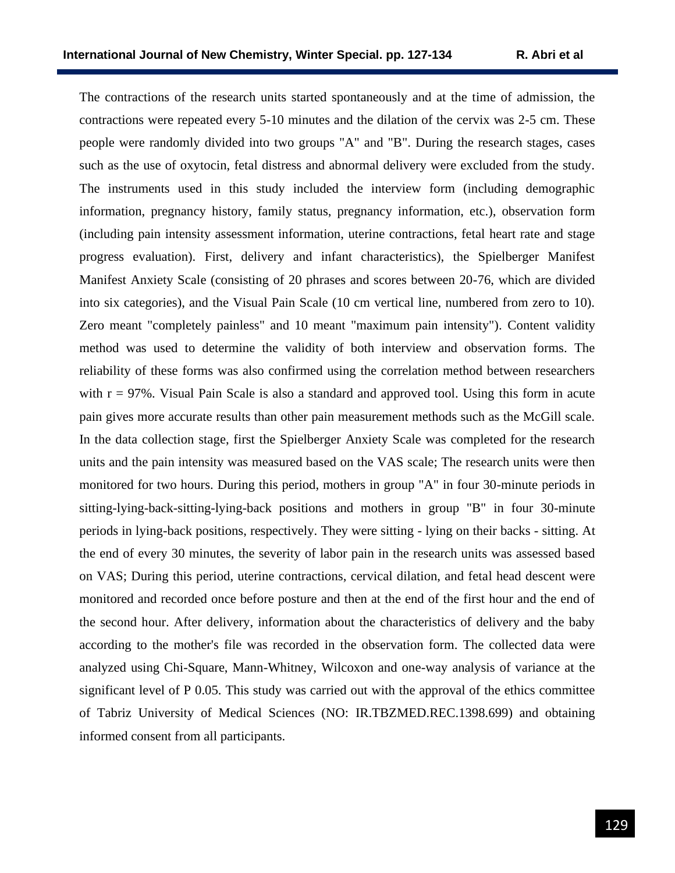The contractions of the research units started spontaneously and at the time of admission, the contractions were repeated every 5-10 minutes and the dilation of the cervix was 2-5 cm. These people were randomly divided into two groups "A" and "B". During the research stages, cases such as the use of oxytocin, fetal distress and abnormal delivery were excluded from the study. The instruments used in this study included the interview form (including demographic information, pregnancy history, family status, pregnancy information, etc.), observation form (including pain intensity assessment information, uterine contractions, fetal heart rate and stage progress evaluation). First, delivery and infant characteristics), the Spielberger Manifest Manifest Anxiety Scale (consisting of 20 phrases and scores between 20-76, which are divided into six categories), and the Visual Pain Scale (10 cm vertical line, numbered from zero to 10). Zero meant "completely painless" and 10 meant "maximum pain intensity"). Content validity method was used to determine the validity of both interview and observation forms. The reliability of these forms was also confirmed using the correlation method between researchers with  $r = 97\%$ . Visual Pain Scale is also a standard and approved tool. Using this form in acute pain gives more accurate results than other pain measurement methods such as the McGill scale. In the data collection stage, first the Spielberger Anxiety Scale was completed for the research units and the pain intensity was measured based on the VAS scale; The research units were then monitored for two hours. During this period, mothers in group "A" in four 30-minute periods in sitting-lying-back-sitting-lying-back positions and mothers in group "B" in four 30-minute periods in lying-back positions, respectively. They were sitting - lying on their backs - sitting. At the end of every 30 minutes, the severity of labor pain in the research units was assessed based on VAS; During this period, uterine contractions, cervical dilation, and fetal head descent were monitored and recorded once before posture and then at the end of the first hour and the end of the second hour. After delivery, information about the characteristics of delivery and the baby according to the mother's file was recorded in the observation form. The collected data were analyzed using Chi-Square, Mann-Whitney, Wilcoxon and one-way analysis of variance at the significant level of P 0.05. This study was carried out with the approval of the ethics committee of Tabriz University of Medical Sciences (NO: [IR.TBZMED.REC.1398.699\)](http://ethics.research.ac.ir/IR.TBZMED.REC.1398.699) and obtaining informed consent from all participants.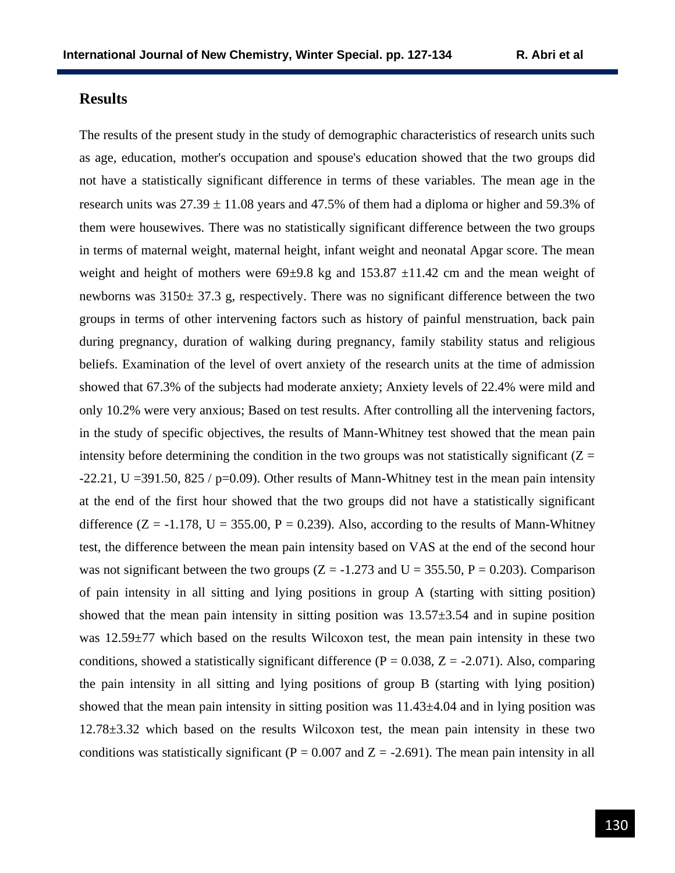## **Results**

The results of the present study in the study of demographic characteristics of research units such as age, education, mother's occupation and spouse's education showed that the two groups did not have a statistically significant difference in terms of these variables. The mean age in the research units was  $27.39 \pm 11.08$  years and 47.5% of them had a diploma or higher and 59.3% of them were housewives. There was no statistically significant difference between the two groups in terms of maternal weight, maternal height, infant weight and neonatal Apgar score. The mean weight and height of mothers were  $69\pm9.8$  kg and  $153.87 \pm11.42$  cm and the mean weight of newborns was 3150± 37.3 g, respectively. There was no significant difference between the two groups in terms of other intervening factors such as history of painful menstruation, back pain during pregnancy, duration of walking during pregnancy, family stability status and religious beliefs. Examination of the level of overt anxiety of the research units at the time of admission showed that 67.3% of the subjects had moderate anxiety; Anxiety levels of 22.4% were mild and only 10.2% were very anxious; Based on test results. After controlling all the intervening factors, in the study of specific objectives, the results of Mann-Whitney test showed that the mean pain intensity before determining the condition in the two groups was not statistically significant  $(Z =$ -22.21, U = 391.50, 825 / p=0.09). Other results of Mann-Whitney test in the mean pain intensity at the end of the first hour showed that the two groups did not have a statistically significant difference  $(Z = -1.178, U = 355.00, P = 0.239)$ . Also, according to the results of Mann-Whitney test, the difference between the mean pain intensity based on VAS at the end of the second hour was not significant between the two groups ( $Z = -1.273$  and  $U = 355.50$ ,  $P = 0.203$ ). Comparison of pain intensity in all sitting and lying positions in group A (starting with sitting position) showed that the mean pain intensity in sitting position was  $13.57\pm3.54$  and in supine position was 12.59±77 which based on the results Wilcoxon test, the mean pain intensity in these two conditions, showed a statistically significant difference ( $P = 0.038$ ,  $Z = -2.071$ ). Also, comparing the pain intensity in all sitting and lying positions of group B (starting with lying position) showed that the mean pain intensity in sitting position was  $11.43\pm4.04$  and in lying position was 12.78±3.32 which based on the results Wilcoxon test, the mean pain intensity in these two conditions was statistically significant ( $P = 0.007$  and  $Z = -2.691$ ). The mean pain intensity in all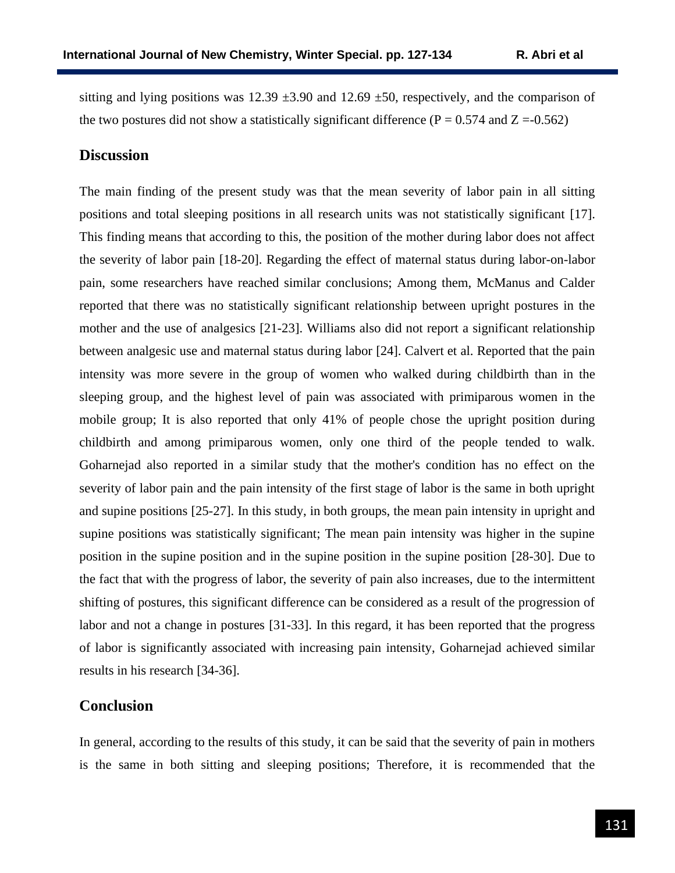sitting and lying positions was  $12.39 \pm 3.90$  and  $12.69 \pm 50$ , respectively, and the comparison of the two postures did not show a statistically significant difference ( $P = 0.574$  and  $Z = -0.562$ )

#### **Discussion**

The main finding of the present study was that the mean severity of labor pain in all sitting positions and total sleeping positions in all research units was not statistically significant [17]. This finding means that according to this, the position of the mother during labor does not affect the severity of labor pain [18-20]. Regarding the effect of maternal status during labor-on-labor pain, some researchers have reached similar conclusions; Among them, McManus and Calder reported that there was no statistically significant relationship between upright postures in the mother and the use of analgesics [21-23]. Williams also did not report a significant relationship between analgesic use and maternal status during labor [24]. Calvert et al. Reported that the pain intensity was more severe in the group of women who walked during childbirth than in the sleeping group, and the highest level of pain was associated with primiparous women in the mobile group; It is also reported that only 41% of people chose the upright position during childbirth and among primiparous women, only one third of the people tended to walk. Goharnejad also reported in a similar study that the mother's condition has no effect on the severity of labor pain and the pain intensity of the first stage of labor is the same in both upright and supine positions [25-27]. In this study, in both groups, the mean pain intensity in upright and supine positions was statistically significant; The mean pain intensity was higher in the supine position in the supine position and in the supine position in the supine position [28-30]. Due to the fact that with the progress of labor, the severity of pain also increases, due to the intermittent shifting of postures, this significant difference can be considered as a result of the progression of labor and not a change in postures [31-33]. In this regard, it has been reported that the progress of labor is significantly associated with increasing pain intensity, Goharnejad achieved similar results in his research [34-36].

## **Conclusion**

In general, according to the results of this study, it can be said that the severity of pain in mothers is the same in both sitting and sleeping positions; Therefore, it is recommended that the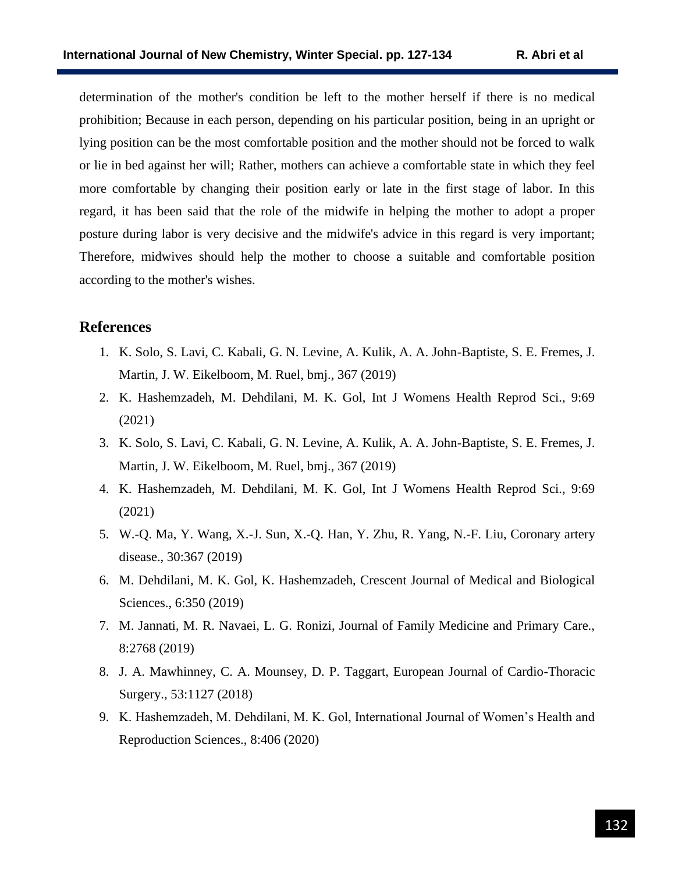determination of the mother's condition be left to the mother herself if there is no medical prohibition; Because in each person, depending on his particular position, being in an upright or lying position can be the most comfortable position and the mother should not be forced to walk or lie in bed against her will; Rather, mothers can achieve a comfortable state in which they feel more comfortable by changing their position early or late in the first stage of labor. In this regard, it has been said that the role of the midwife in helping the mother to adopt a proper posture during labor is very decisive and the midwife's advice in this regard is very important; Therefore, midwives should help the mother to choose a suitable and comfortable position according to the mother's wishes.

## **References**

- 1. K. Solo, S. Lavi, C. Kabali, G. N. Levine, A. Kulik, A. A. John-Baptiste, S. E. Fremes, J. Martin, J. W. Eikelboom, M. Ruel, bmj., 367 (2019)
- 2. K. Hashemzadeh, M. Dehdilani, M. K. Gol, Int J Womens Health Reprod Sci., 9:69 (2021)
- 3. K. Solo, S. Lavi, C. Kabali, G. N. Levine, A. Kulik, A. A. John-Baptiste, S. E. Fremes, J. Martin, J. W. Eikelboom, M. Ruel, bmj., 367 (2019)
- 4. K. Hashemzadeh, M. Dehdilani, M. K. Gol, Int J Womens Health Reprod Sci., 9:69 (2021)
- 5. W.-Q. Ma, Y. Wang, X.-J. Sun, X.-Q. Han, Y. Zhu, R. Yang, N.-F. Liu, Coronary artery disease., 30:367 (2019)
- 6. M. Dehdilani, M. K. Gol, K. Hashemzadeh, Crescent Journal of Medical and Biological Sciences., 6:350 (2019)
- 7. M. Jannati, M. R. Navaei, L. G. Ronizi, Journal of Family Medicine and Primary Care., 8:2768 (2019)
- 8. J. A. Mawhinney, C. A. Mounsey, D. P. Taggart, European Journal of Cardio-Thoracic Surgery., 53:1127 (2018)
- 9. K. Hashemzadeh, M. Dehdilani, M. K. Gol, International Journal of Women's Health and Reproduction Sciences., 8:406 (2020)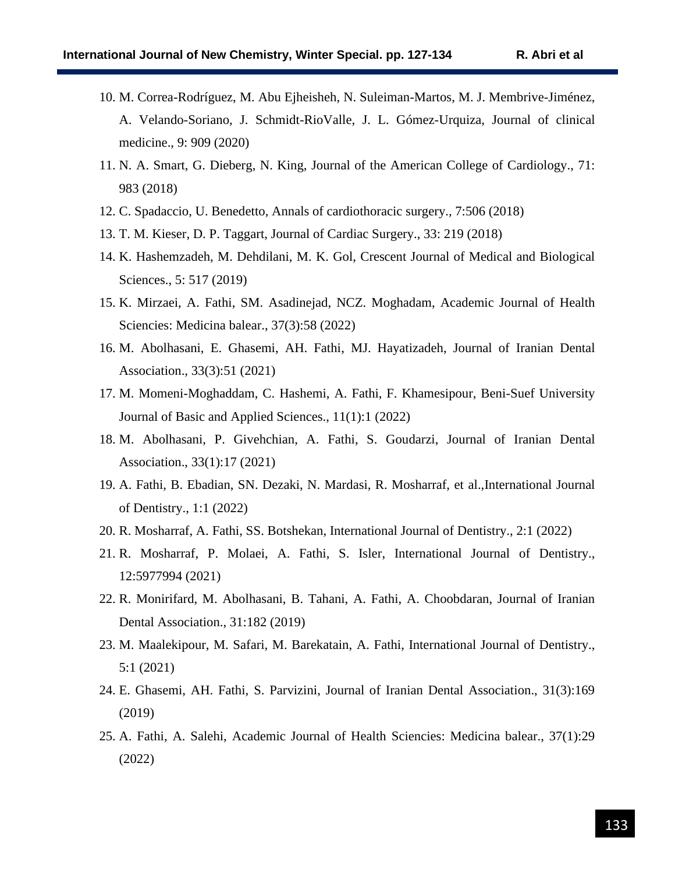- 10. M. Correa-Rodríguez, M. Abu Ejheisheh, N. Suleiman-Martos, M. J. Membrive-Jiménez, A. Velando-Soriano, J. Schmidt-RioValle, J. L. Gómez-Urquiza, Journal of clinical medicine., 9: 909 (2020)
- 11. N. A. Smart, G. Dieberg, N. King, Journal of the American College of Cardiology., 71: 983 (2018)
- 12. C. Spadaccio, U. Benedetto, Annals of cardiothoracic surgery., 7:506 (2018)
- 13. T. M. Kieser, D. P. Taggart, Journal of Cardiac Surgery., 33: 219 (2018)
- 14. K. Hashemzadeh, M. Dehdilani, M. K. Gol, Crescent Journal of Medical and Biological Sciences., 5: 517 (2019)
- 15. K. Mirzaei, A. Fathi, SM. Asadinejad, NCZ. Moghadam, Academic Journal of Health Sciencies: Medicina balear., 37(3):58 (2022)
- 16. M. Abolhasani, E. Ghasemi, AH. Fathi, MJ. Hayatizadeh, Journal of Iranian Dental Association., 33(3):51 (2021)
- 17. M. Momeni-Moghaddam, C. Hashemi, A. Fathi, F. Khamesipour, Beni-Suef University Journal of Basic and Applied Sciences., 11(1):1 (2022)
- 18. M. Abolhasani, P. Givehchian, A. Fathi, S. Goudarzi, Journal of Iranian Dental Association., 33(1):17 (2021)
- 19. A. Fathi, B. Ebadian, SN. Dezaki, N. Mardasi, R. Mosharraf, et al.,International Journal of Dentistry., 1:1 (2022)
- 20. R. Mosharraf, A. Fathi, SS. Botshekan, International Journal of Dentistry., 2:1 (2022)
- 21. R. Mosharraf, P. Molaei, A. Fathi, S. Isler, International Journal of Dentistry., 12:5977994 (2021)
- 22. R. Monirifard, M. Abolhasani, B. Tahani, A. Fathi, A. Choobdaran, Journal of Iranian Dental Association., 31:182 (2019)
- 23. M. Maalekipour, M. Safari, M. Barekatain, A. Fathi, International Journal of Dentistry., 5:1 (2021)
- 24. E. Ghasemi, AH. Fathi, S. Parvizini, Journal of Iranian Dental Association., 31(3):169 (2019)
- 25. A. Fathi, A. Salehi, Academic Journal of Health Sciencies: Medicina balear., 37(1):29 (2022)